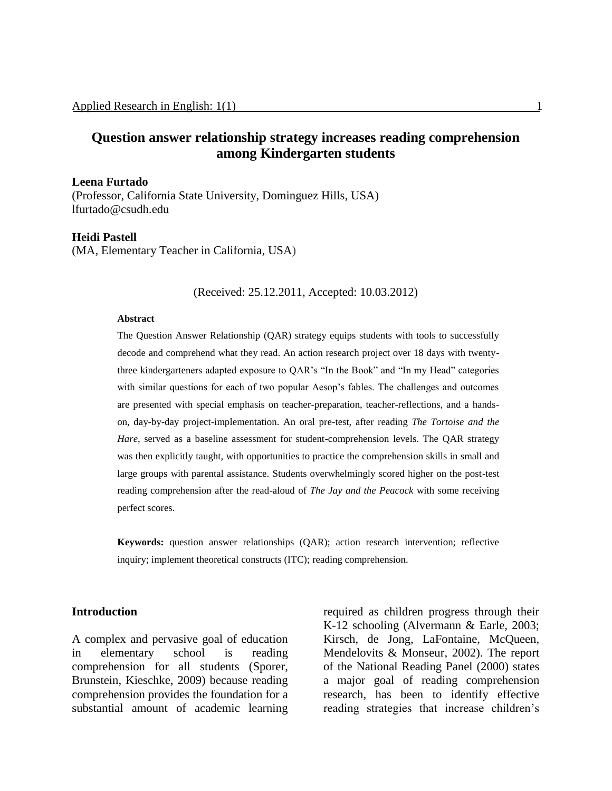# **Question answer relationship strategy increases reading comprehension among Kindergarten students**

#### **Leena Furtado**

(Professor, California State University, Dominguez Hills, USA) lfurtado@csudh.edu

#### **Heidi Pastell**

(MA, Elementary Teacher in California, USA)

(Received: 25.12.2011, Accepted: 10.03.2012)

#### **Abstract**

The Question Answer Relationship (QAR) strategy equips students with tools to successfully decode and comprehend what they read. An action research project over 18 days with twentythree kindergarteners adapted exposure to QAR's "In the Book" and "In my Head" categories with similar questions for each of two popular Aesop's fables. The challenges and outcomes are presented with special emphasis on teacher-preparation, teacher-reflections, and a handson, day-by-day project-implementation. An oral pre-test, after reading *The Tortoise and the Hare,* served as a baseline assessment for student-comprehension levels. The QAR strategy was then explicitly taught, with opportunities to practice the comprehension skills in small and large groups with parental assistance. Students overwhelmingly scored higher on the post-test reading comprehension after the read-aloud of *The Jay and the Peacock* with some receiving perfect scores.

**Keywords:** question answer relationships (QAR); action research intervention; reflective inquiry; implement theoretical constructs (ITC); reading comprehension.

#### **Introduction**

A complex and pervasive goal of education in elementary school is reading comprehension for all students (Sporer, Brunstein, Kieschke, 2009) because reading comprehension provides the foundation for a substantial amount of academic learning

required as children progress through their K-12 schooling (Alvermann & Earle, 2003; Kirsch, de Jong, LaFontaine, McQueen, Mendelovits & Monseur, 2002). The report of the National Reading Panel (2000) states a major goal of reading comprehension research, has been to identify effective reading strategies that increase children's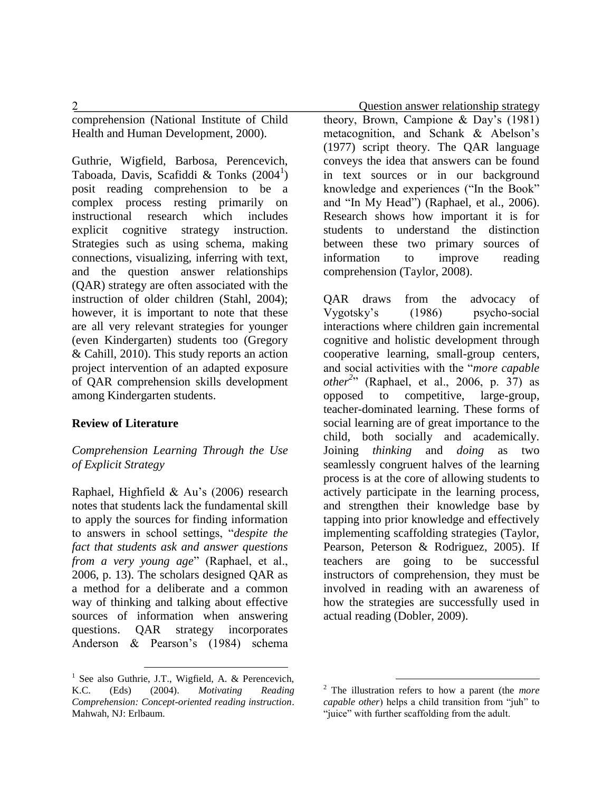comprehension (National Institute of Child Health and Human Development, 2000).

Guthrie, Wigfield, Barbosa, Perencevich, Taboada, Davis, Scafiddi & Tonks (2004<sup>1</sup>) posit reading comprehension to be a complex process resting primarily on instructional research which includes explicit cognitive strategy instruction. Strategies such as using schema, making connections, visualizing, inferring with text, and the question answer relationships (QAR) strategy are often associated with the instruction of older children (Stahl, 2004); however, it is important to note that these are all very relevant strategies for younger (even Kindergarten) students too (Gregory & Cahill, 2010). This study reports an action project intervention of an adapted exposure of QAR comprehension skills development among Kindergarten students.

### **Review of Literature**

### *Comprehension Learning Through the Use of Explicit Strategy*

Raphael, Highfield & Au's (2006) research notes that students lack the fundamental skill to apply the sources for finding information to answers in school settings, "*despite the fact that students ask and answer questions from a very young age*" (Raphael, et al., 2006, p. 13). The scholars designed QAR as a method for a deliberate and a common way of thinking and talking about effective sources of information when answering questions. QAR strategy incorporates Anderson & Pearson's (1984) schema

 $\overline{a}$ 

2 Question answer relationship strategy theory, Brown, Campione & Day's (1981) metacognition, and Schank & Abelson's (1977) script theory. The QAR language conveys the idea that answers can be found in text sources or in our background knowledge and experiences ("In the Book" and "In My Head") (Raphael, et al., 2006). Research shows how important it is for students to understand the distinction between these two primary sources of information to improve reading comprehension (Taylor, 2008).

> QAR draws from the advocacy of Vygotsky's (1986) psycho-social interactions where children gain incremental cognitive and holistic development through cooperative learning, small-group centers, and social activities with the "*more capable other*<sup>2</sup><sup>2</sup> (Raphael, et al., 2006, p. 37) as opposed to competitive, large-group, teacher-dominated learning. These forms of social learning are of great importance to the child, both socially and academically. Joining *thinking* and *doing* as two seamlessly congruent halves of the learning process is at the core of allowing students to actively participate in the learning process, and strengthen their knowledge base by tapping into prior knowledge and effectively implementing scaffolding strategies (Taylor, Pearson, Peterson & Rodriguez, 2005). If teachers are going to be successful instructors of comprehension, they must be involved in reading with an awareness of how the strategies are successfully used in actual reading (Dobler, 2009).

<sup>&</sup>lt;sup>1</sup> See also Guthrie, J.T., Wigfield, A. & Perencevich, K.C. (Eds) (2004). *Motivating Reading Comprehension: Concept-oriented reading instruction*. Mahwah, NJ: Erlbaum.

<sup>2</sup> The illustration refers to how a parent (the *more capable other*) helps a child transition from "juh" to "juice" with further scaffolding from the adult.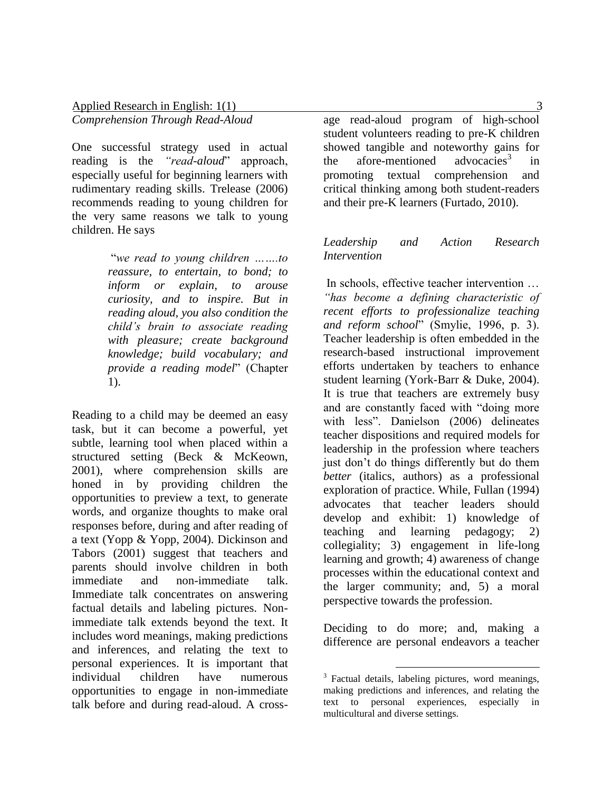One successful strategy used in actual reading is the *"read-aloud*" approach, especially useful for beginning learners with rudimentary reading skills. Trelease (2006) recommends reading to young children for the very same reasons we talk to young children. He says

> "*we read to young children …….to reassure, to entertain, to bond; to inform or explain, to arouse curiosity, and to inspire. But in reading aloud, you also condition the child's brain to associate reading with pleasure; create background knowledge; build vocabulary; and provide a reading model*" (Chapter 1).

Reading to a child may be deemed an easy task, but it can become a powerful, yet subtle, learning tool when placed within a structured setting (Beck & McKeown, 2001), where comprehension skills are honed in by providing children the opportunities to preview a text, to generate words, and organize thoughts to make oral responses before, during and after reading of a text (Yopp & Yopp, 2004). Dickinson and Tabors (2001) suggest that teachers and parents should involve children in both immediate and non-immediate talk. Immediate talk concentrates on answering factual details and labeling pictures. Nonimmediate talk extends beyond the text. It includes word meanings, making predictions and inferences, and relating the text to personal experiences. It is important that<br>individual children have numerous individual children have numerous opportunities to engage in non-immediate talk before and during read-aloud. A cross-

age read-aloud program of high-school student volunteers reading to pre-K children showed tangible and noteworthy gains for<br>the afore-mentioned advocacies<sup>3</sup> in the afore-mentioned in promoting textual comprehension and critical thinking among both student-readers and their pre-K learners (Furtado, 2010).

## *Leadership and Action Research Intervention*

In schools, effective teacher intervention … *"has become a defining characteristic of recent efforts to professionalize teaching and reform school*" (Smylie, 1996, p. 3). Teacher leadership is often embedded in the research-based instructional improvement efforts undertaken by teachers to enhance student learning (York-Barr & Duke, 2004). It is true that teachers are extremely busy and are constantly faced with "doing more with less". Danielson (2006) delineates teacher dispositions and required models for leadership in the profession where teachers just don't do things differently but do them *better* (italics, authors) as a professional exploration of practice. While, Fullan (1994) advocates that teacher leaders should develop and exhibit: 1) knowledge of teaching and learning pedagogy; 2) collegiality; 3) engagement in life-long learning and growth; 4) awareness of change processes within the educational context and the larger community; and, 5) a moral perspective towards the profession.

Deciding to do more; and, making a difference are personal endeavors a teacher

<sup>&</sup>lt;sup>3</sup> Factual details, labeling pictures, word meanings, making predictions and inferences, and relating the text to personal experiences, especially in multicultural and diverse settings.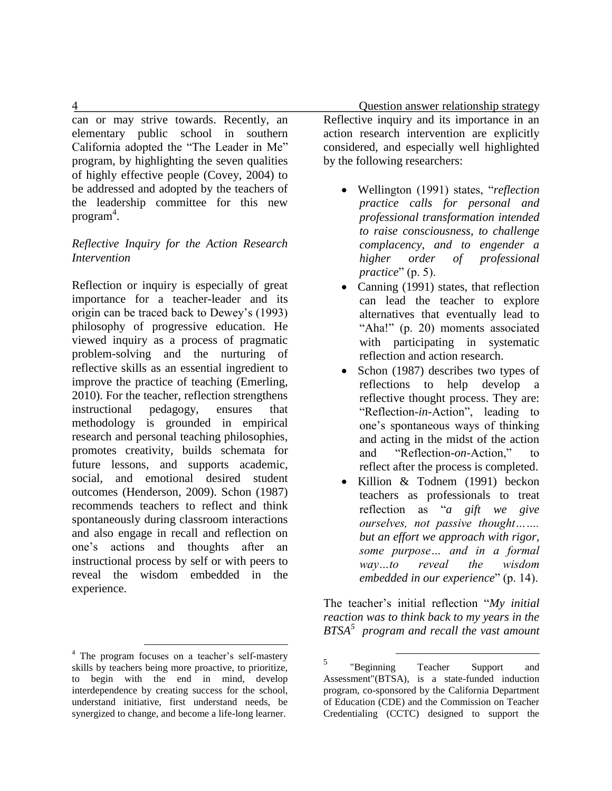can or may strive towards. Recently, an elementary public school in southern California adopted the "The Leader in Me" program, by highlighting the seven qualities of highly effective people (Covey, 2004) to be addressed and adopted by the teachers of the leadership committee for this new program 4 .

#### *Reflective Inquiry for the Action Research Intervention*

Reflection or inquiry is especially of great importance for a teacher-leader and its origin can be traced back to Dewey's (1993) philosophy of progressive education. He viewed inquiry as a process of pragmatic problem-solving and the nurturing of reflective skills as an essential ingredient to improve the practice of teaching (Emerling, 2010). For the teacher, reflection strengthens instructional pedagogy, ensures that methodology is grounded in empirical research and personal teaching philosophies, promotes creativity, builds schemata for future lessons, and supports academic, social, and emotional desired student outcomes (Henderson, 2009). Schon (1987) recommends teachers to reflect and think spontaneously during classroom interactions and also engage in recall and reflection on one's actions and thoughts after an instructional process by self or with peers to reveal the wisdom embedded in the experience.

 $\overline{a}$ 

 4 Question answer relationship strategy Reflective inquiry and its importance in an action research intervention are explicitly considered, and especially well highlighted by the following researchers:

- Wellington (1991) states, "*reflection practice calls for personal and professional transformation intended to raise consciousness, to challenge complacency, and to engender a higher order of professional practice*" (p. 5).
- Canning (1991) states, that reflection can lead the teacher to explore alternatives that eventually lead to "Aha!" (p. 20) moments associated with participating in systematic reflection and action research.
- Schon (1987) describes two types of reflections to help develop a reflective thought process. They are: "Reflection-*in*-Action", leading to one's spontaneous ways of thinking and acting in the midst of the action and "Reflection-*on*-Action," to reflect after the process is completed.
- Killion & Todnem (1991) beckon teachers as professionals to treat reflection as "*a gift we give ourselves, not passive thought……. but an effort we approach with rigor, some purpose… and in a formal way…to reveal the wisdom embedded in our experience*" (p. 14).

The teacher's initial reflection "*My initial reaction was to think back to my years in the BTSA<sup>5</sup> program and recall the vast amount* 

<sup>&</sup>lt;sup>4</sup> The program focuses on a teacher's self-mastery skills by teachers being more proactive, to prioritize, to begin with the end in mind, develop interdependence by creating success for the school, understand initiative, first understand needs, be synergized to change, and become a life-long learner.

<sup>5</sup> "Beginning Teacher Support and Assessment"(BTSA), is a state-funded induction program, co-sponsored by the California Department of Education (CDE) and the Commission on Teacher Credentialing (CCTC) designed to support the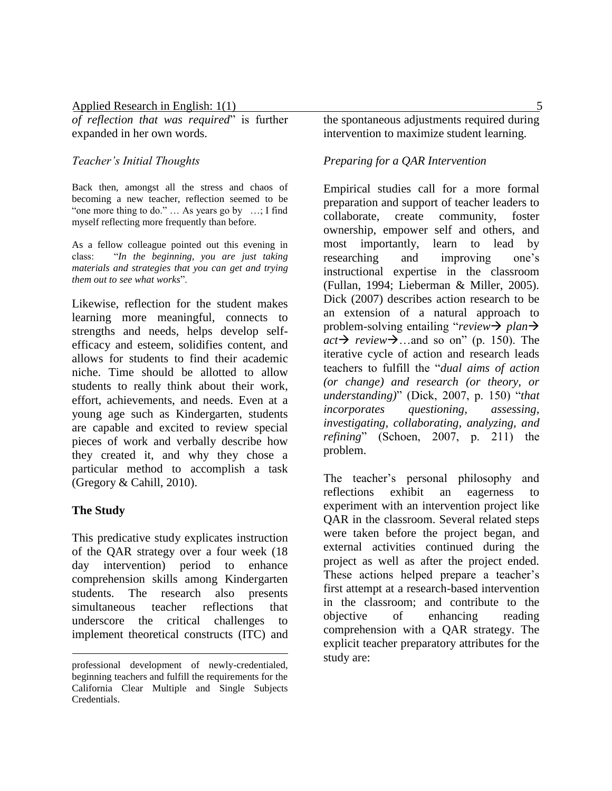*of reflection that was required*" is further expanded in her own words.

#### *Teacher's Initial Thoughts*

Back then, amongst all the stress and chaos of becoming a new teacher, reflection seemed to be "one more thing to do." … As years go by …; I find myself reflecting more frequently than before.

As a fellow colleague pointed out this evening in class: "*In the beginning, you are just taking materials and strategies that you can get and trying them out to see what works*".

Likewise, reflection for the student makes learning more meaningful, connects to strengths and needs, helps develop selfefficacy and esteem, solidifies content, and allows for students to find their academic niche. Time should be allotted to allow students to really think about their work, effort, achievements, and needs. Even at a young age such as Kindergarten, students are capable and excited to review special pieces of work and verbally describe how they created it, and why they chose a particular method to accomplish a task (Gregory & Cahill, 2010).

#### **The Study**

 $\overline{a}$ 

This predicative study explicates instruction of the QAR strategy over a four week (18 day intervention) period to enhance comprehension skills among Kindergarten students. The research also presents simultaneous teacher reflections that underscore the critical challenges to implement theoretical constructs (ITC) and the spontaneous adjustments required during intervention to maximize student learning.

#### *Preparing for a QAR Intervention*

Empirical studies call for a more formal preparation and support of teacher leaders to collaborate, create community, foster ownership, empower self and others, and most importantly, learn to lead by researching and improving one's instructional expertise in the classroom (Fullan, 1994; Lieberman & Miller, 2005). Dick (2007) describes action research to be an extension of a natural approach to problem-solving entailing "*review plan*  $act \rightarrow review \rightarrow$  ...and so on" (p. 150). The iterative cycle of action and research leads teachers to fulfill the "*dual aims of action (or change) and research (or theory, or understanding)*" (Dick, 2007, p. 150) "*that incorporates questioning, assessing, investigating, collaborating, analyzing, and refining*" (Schoen, 2007, p. 211) the problem.

The teacher's personal philosophy and reflections exhibit an eagerness to experiment with an intervention project like QAR in the classroom. Several related steps were taken before the project began, and external activities continued during the project as well as after the project ended. These actions helped prepare a teacher's first attempt at a research-based intervention in the classroom; and contribute to the objective of enhancing reading comprehension with a QAR strategy. The explicit teacher preparatory attributes for the study are:

professional development of newly-credentialed, beginning teachers and fulfill the requirements for the California Clear Multiple and Single Subjects Credentials.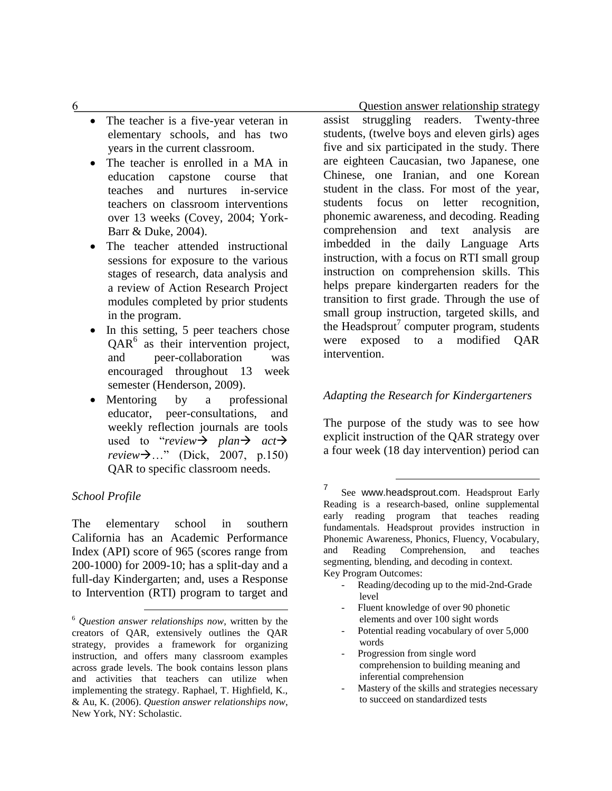- The teacher is a five-year veteran in elementary schools, and has two years in the current classroom.
- The teacher is enrolled in a MA in education capstone course that teaches and nurtures in-service teachers on classroom interventions over 13 weeks (Covey, 2004; York-Barr & Duke, 2004).
- The teacher attended instructional sessions for exposure to the various stages of research, data analysis and a review of Action Research Project modules completed by prior students in the program.
- In this setting, 5 peer teachers chose QAR<sup>6</sup> as their intervention project, and peer-collaboration was encouraged throughout 13 week semester (Henderson, 2009).
- Mentoring by a professional educator, peer-consultations, and weekly reflection journals are tools used to "*review* >  $plan \rightarrow$   $act \rightarrow$ *review* → ..." (Dick, 2007, p.150) QAR to specific classroom needs.

### *School Profile*

The elementary school in southern California has an Academic Performance Index (API) score of 965 (scores range from 200-1000) for 2009-10; has a split-day and a full-day Kindergarten; and, uses a Response to Intervention (RTI) program to target and

 $\overline{a}$ 

assist struggling readers. Twenty-three students, (twelve boys and eleven girls) ages five and six participated in the study. There are eighteen Caucasian, two Japanese, one Chinese, one Iranian, and one Korean student in the class. For most of the year, students focus on letter recognition, phonemic awareness, and decoding. Reading comprehension and text analysis are imbedded in the daily Language Arts instruction, with a focus on RTI small group instruction on comprehension skills. This helps prepare kindergarten readers for the transition to first grade. Through the use of small group instruction, targeted skills, and the Headsprout<sup>7</sup> computer program, students were exposed to a modified QAR intervention.

## *Adapting the Research for Kindergarteners*

The purpose of the study was to see how explicit instruction of the QAR strategy over a four week (18 day intervention) period can

 $\overline{a}$ 

7 See www.headsprout.com. Headsprout Early Reading is a research-based, online supplemental early reading program that teaches reading fundamentals. Headsprout provides instruction in Phonemic Awareness, Phonics, Fluency, Vocabulary, and Reading Comprehension, and teaches segmenting, blending, and decoding in context. Key Program Outcomes:

- Reading/decoding up to the mid-2nd-Grade level
- Fluent knowledge of over 90 phonetic elements and over 100 sight words
- Potential reading vocabulary of over 5,000 words
- Progression from single word comprehension to building meaning and inferential comprehension
- Mastery of the skills and strategies necessary to succeed on standardized tests

6 Question answer relationship strategy

<sup>6</sup> *Question answer relationships now*, written by the creators of QAR, extensively outlines the QAR strategy, provides a framework for organizing instruction, and offers many classroom examples across grade levels. The book contains lesson plans and activities that teachers can utilize when implementing the strategy. Raphael, T. Highfield, K., & Au, K. (2006). *Question answer relationships now*, New York, NY: Scholastic.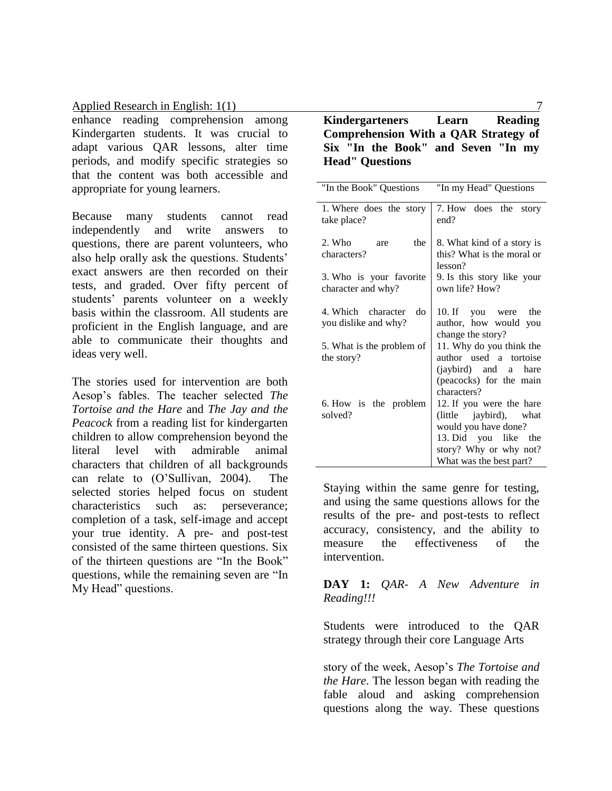enhance reading comprehension among Kindergarten students. It was crucial to adapt various QAR lessons, alter time periods, and modify specific strategies so that the content was both accessible and appropriate for young learners.

Because many students cannot read independently and write answers to questions, there are parent volunteers, who also help orally ask the questions. Students' exact answers are then recorded on their tests, and graded. Over fifty percent of students' parents volunteer on a weekly basis within the classroom. All students are proficient in the English language, and are able to communicate their thoughts and ideas very well.

The stories used for intervention are both Aesop's fables. The teacher selected *The Tortoise and the Hare* and *The Jay and the Peacock* from a reading list for kindergarten children to allow comprehension beyond the literal level with admirable animal characters that children of all backgrounds can relate to (O'Sullivan, 2004). The selected stories helped focus on student characteristics such as: perseverance; completion of a task, self-image and accept your true identity. A pre- and post-test consisted of the same thirteen questions. Six of the thirteen questions are "In the Book" questions, while the remaining seven are "In My Head" questions.

### **Kindergarteners Learn Reading Comprehension With a QAR Strategy of Six "In the Book" and Seven "In my Head" Questions**

| "In the Book" Questions                          | "In my Head" Questions                                                                                                                                  |
|--------------------------------------------------|---------------------------------------------------------------------------------------------------------------------------------------------------------|
| 1. Where does the story<br>take place?           | 7. How does the<br>story<br>end?                                                                                                                        |
| 2. Who<br>the<br>are<br>characters?              | 8. What kind of a story is<br>this? What is the moral or<br>lesson?                                                                                     |
| 3. Who is your favorite<br>character and why?    | 9. Is this story like your<br>own life? How?                                                                                                            |
| 4. Which character<br>do<br>you dislike and why? | 10. If you were<br>the<br>author, how would you<br>change the story?                                                                                    |
| 5. What is the problem of<br>the story?          | 11. Why do you think the<br>author used a tortoise<br>(jaybird) and a hare<br>(peacocks) for the main<br>characters?                                    |
| 6. How is the problem<br>solved?                 | 12. If you were the hare<br>(little jaybird), what<br>would you have done?<br>13. Did you like the<br>story? Why or why not?<br>What was the best part? |

Staying within the same genre for testing, and using the same questions allows for the results of the pre- and post-tests to reflect accuracy, consistency, and the ability to measure the effectiveness of the intervention.

**DAY 1:** *QAR- A New Adventure in Reading!!!*

Students were introduced to the QAR strategy through their core Language Arts

story of the week, Aesop's *The Tortoise and the Hare*. The lesson began with reading the fable aloud and asking comprehension questions along the way. These questions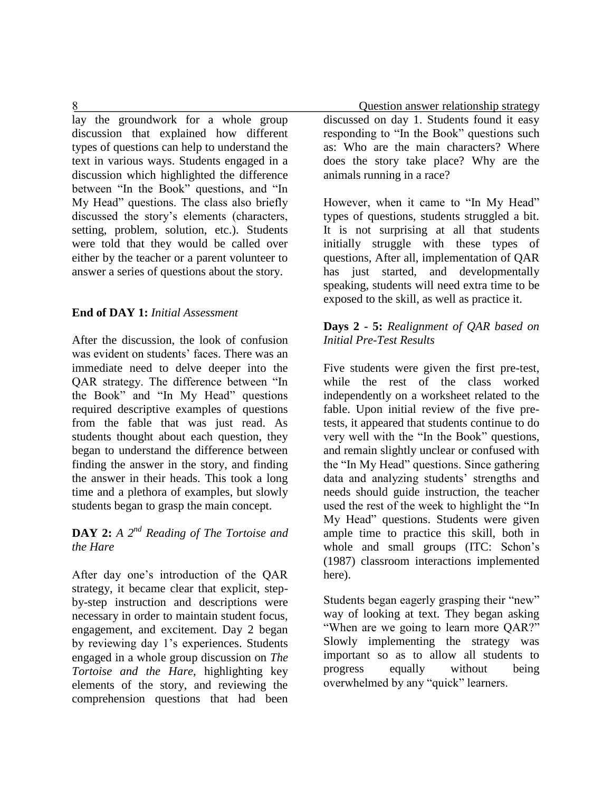lay the groundwork for a whole group discussion that explained how different types of questions can help to understand the text in various ways. Students engaged in a discussion which highlighted the difference between "In the Book" questions, and "In My Head" questions. The class also briefly discussed the story's elements (characters, setting, problem, solution, etc.). Students were told that they would be called over either by the teacher or a parent volunteer to answer a series of questions about the story.

### **End of DAY 1:** *Initial Assessment*

After the discussion, the look of confusion was evident on students' faces. There was an immediate need to delve deeper into the QAR strategy. The difference between "In the Book" and "In My Head" questions required descriptive examples of questions from the fable that was just read. As students thought about each question, they began to understand the difference between finding the answer in the story, and finding the answer in their heads. This took a long time and a plethora of examples, but slowly students began to grasp the main concept.

# **DAY 2:** *A 2nd Reading of The Tortoise and the Hare*

After day one's introduction of the QAR strategy, it became clear that explicit, stepby-step instruction and descriptions were necessary in order to maintain student focus, engagement, and excitement. Day 2 began by reviewing day 1's experiences. Students engaged in a whole group discussion on *The Tortoise and the Hare*, highlighting key elements of the story, and reviewing the comprehension questions that had been

 8 Question answer relationship strategy discussed on day 1. Students found it easy responding to "In the Book" questions such as: Who are the main characters? Where does the story take place? Why are the animals running in a race?

> However, when it came to "In My Head" types of questions, students struggled a bit. It is not surprising at all that students initially struggle with these types of questions, After all, implementation of QAR has just started, and developmentally speaking, students will need extra time to be exposed to the skill, as well as practice it.

### **Days 2 - 5:** *Realignment of QAR based on Initial Pre-Test Results*

Five students were given the first pre-test, while the rest of the class worked independently on a worksheet related to the fable. Upon initial review of the five pretests, it appeared that students continue to do very well with the "In the Book" questions, and remain slightly unclear or confused with the "In My Head" questions. Since gathering data and analyzing students' strengths and needs should guide instruction, the teacher used the rest of the week to highlight the "In My Head" questions. Students were given ample time to practice this skill, both in whole and small groups (ITC: Schon's (1987) classroom interactions implemented here).

Students began eagerly grasping their "new" way of looking at text. They began asking "When are we going to learn more QAR?" Slowly implementing the strategy was important so as to allow all students to progress equally without being overwhelmed by any "quick" learners.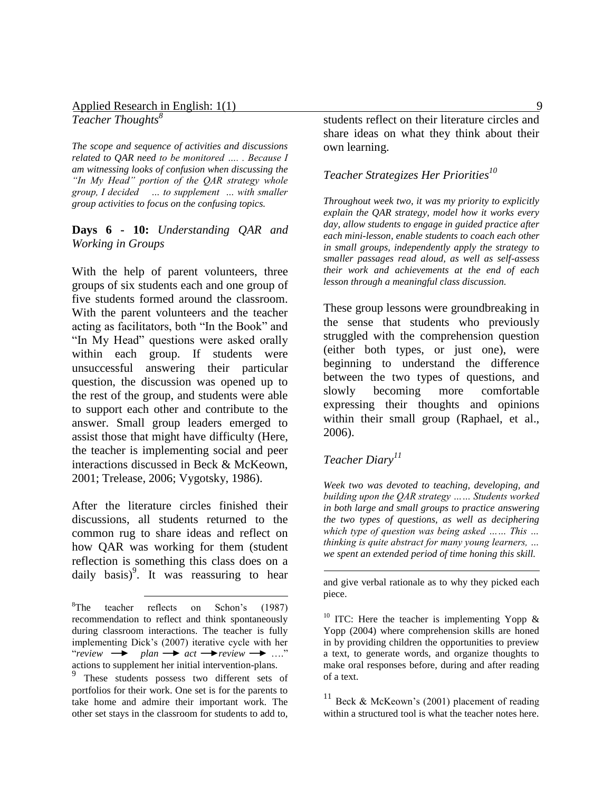*Teacher Thoughts<sup>8</sup>*

*The scope and sequence of activities and discussions related to QAR need to be monitored …. . Because I am witnessing looks of confusion when discussing the "In My Head" portion of the QAR strategy whole group, I decided … to supplement … with smaller group activities to focus on the confusing topics.*

### **Days 6 - 10:** *Understanding QAR and Working in Groups*

With the help of parent volunteers, three groups of six students each and one group of five students formed around the classroom. With the parent volunteers and the teacher acting as facilitators, both "In the Book" and "In My Head" questions were asked orally within each group. If students were unsuccessful answering their particular question, the discussion was opened up to the rest of the group, and students were able to support each other and contribute to the answer. Small group leaders emerged to assist those that might have difficulty (Here, the teacher is implementing social and peer interactions discussed in Beck & McKeown, 2001; Trelease, 2006; Vygotsky, 1986).

After the literature circles finished their discussions, all students returned to the common rug to share ideas and reflect on how QAR was working for them (student reflection is something this class does on a daily basis)<sup>9</sup>. It was reassuring to hear

students reflect on their literature circles and share ideas on what they think about their own learning.

## *Teacher Strategizes Her Priorities<sup>10</sup>*

*Throughout week two, it was my priority to explicitly explain the QAR strategy, model how it works every day, allow students to engage in guided practice after each mini-lesson, enable students to coach each other in small groups, independently apply the strategy to smaller passages read aloud, as well as self-assess their work and achievements at the end of each lesson through a meaningful class discussion.*

These group lessons were groundbreaking in the sense that students who previously struggled with the comprehension question (either both types, or just one), were beginning to understand the difference between the two types of questions, and slowly becoming more comfortable expressing their thoughts and opinions within their small group (Raphael, et al., 2006).

### *Teacher Diary<sup>11</sup>*

1

*Week two was devoted to teaching, developing, and building upon the QAR strategy …… Students worked in both large and small groups to practice answering the two types of questions, as well as deciphering which type of question was being asked …… This … thinking is quite abstract for many young learners, … we spent an extended period of time honing this skill.*

and give verbal rationale as to why they picked each piece.

 $\overline{a}$  ${}^{8}$ The teacher reflects on Schon's (1987) recommendation to reflect and think spontaneously during classroom interactions. The teacher is fully implementing Dick's (2007) iterative cycle with her "*review*  $\rightarrow$  plan  $\rightarrow$  act  $\rightarrow$  *review*  $\rightarrow$  ...." actions to supplement her initial intervention-plans.

<sup>&</sup>lt;sup>9</sup> These students possess two different sets of portfolios for their work. One set is for the parents to take home and admire their important work. The other set stays in the classroom for students to add to,

<sup>&</sup>lt;sup>10</sup> ITC: Here the teacher is implementing Yopp  $\&$ Yopp (2004) where comprehension skills are honed in by providing children the opportunities to preview a text, to generate words, and organize thoughts to make oral responses before, during and after reading of a text.

 $11$  Beck & McKeown's (2001) placement of reading within a structured tool is what the teacher notes here.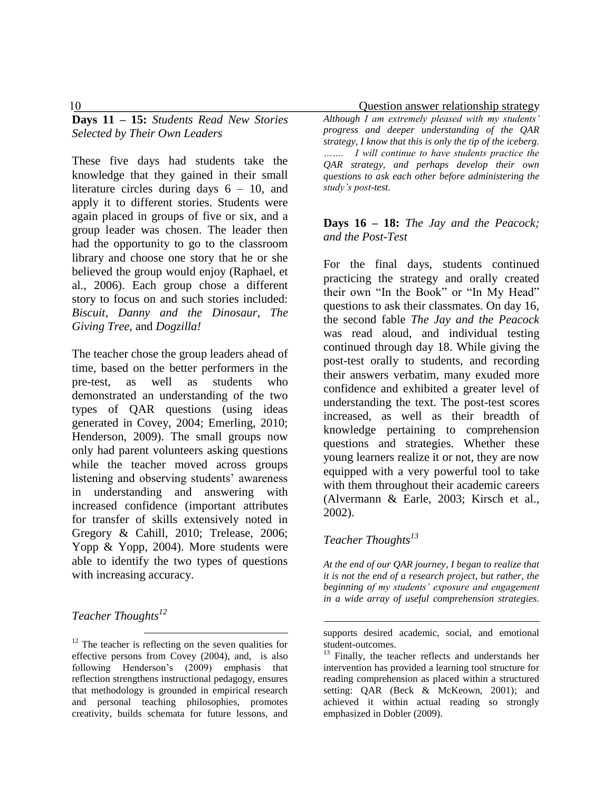**Days 11 – 15:** *Students Read New Stories Selected by Their Own Leaders*

These five days had students take the knowledge that they gained in their small literature circles during days 6 – 10, and apply it to different stories. Students were again placed in groups of five or six, and a group leader was chosen. The leader then had the opportunity to go to the classroom library and choose one story that he or she believed the group would enjoy (Raphael, et al., 2006). Each group chose a different story to focus on and such stories included: *Biscuit, Danny and the Dinosaur, The Giving Tree*, and *Dogzilla!*

The teacher chose the group leaders ahead of time, based on the better performers in the pre-test, as well as students who demonstrated an understanding of the two types of QAR questions (using ideas generated in Covey, 2004; Emerling, 2010; Henderson, 2009). The small groups now only had parent volunteers asking questions while the teacher moved across groups listening and observing students' awareness in understanding and answering with increased confidence (important attributes for transfer of skills extensively noted in Gregory & Cahill, 2010; Trelease, 2006; Yopp & Yopp, 2004). More students were able to identify the two types of questions with increasing accuracy.

*Teacher Thoughts<sup>12</sup>*

 $\overline{a}$  $12$  The teacher is reflecting on the seven qualities for effective persons from Covey (2004), and, is also following Henderson's (2009) emphasis that reflection strengthens instructional pedagogy, ensures that methodology is grounded in empirical research and personal teaching philosophies, promotes creativity, builds schemata for future lessons, and

10 Question answer relationship strategy

*Although I am extremely pleased with my students' progress and deeper understanding of the QAR strategy, I know that this is only the tip of the iceberg. ……. I will continue to have students practice the QAR strategy, and perhaps develop their own questions to ask each other before administering the study's post-test.*

### **Days 16 – 18:** *The Jay and the Peacock; and the Post-Test*

For the final days, students continued practicing the strategy and orally created their own "In the Book" or "In My Head" questions to ask their classmates. On day 16, the second fable *The Jay and the Peacock* was read aloud, and individual testing continued through day 18. While giving the post-test orally to students, and recording their answers verbatim, many exuded more confidence and exhibited a greater level of understanding the text. The post-test scores increased, as well as their breadth of knowledge pertaining to comprehension questions and strategies. Whether these young learners realize it or not, they are now equipped with a very powerful tool to take with them throughout their academic careers (Alvermann & Earle, 2003; Kirsch et al., 2002).

# *Teacher Thoughts<sup>13</sup>*

<u>.</u>

*At the end of our QAR journey, I began to realize that it is not the end of a research project, but rather, the beginning of my students' exposure and engagement in a wide array of useful comprehension strategies.* 

supports desired academic, social, and emotional student-outcomes.

<sup>&</sup>lt;sup>13</sup> Finally, the teacher reflects and understands her intervention has provided a learning tool structure for reading comprehension as placed within a structured setting: QAR (Beck & McKeown, 2001); and achieved it within actual reading so strongly emphasized in Dobler (2009).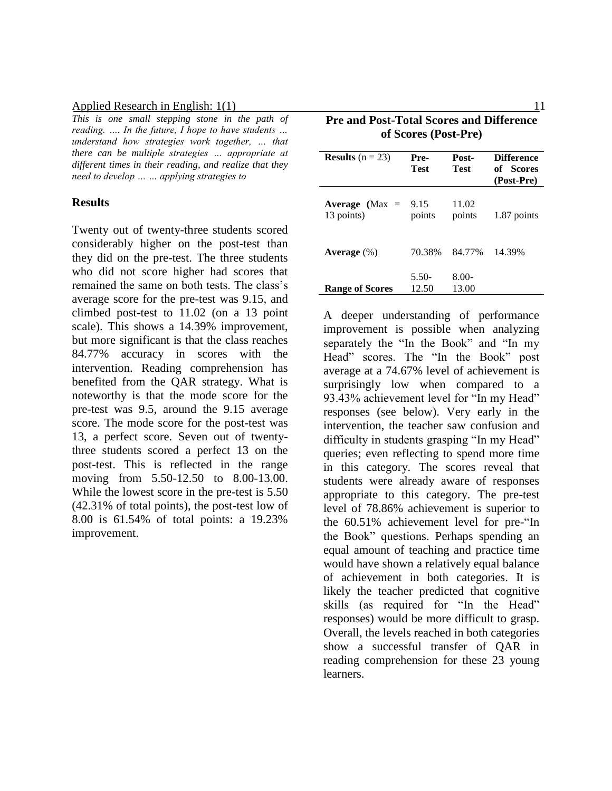*This is one small stepping stone in the path of reading. …. In the future, I hope to have students … understand how strategies work together, … that there can be multiple strategies … appropriate at different times in their reading, and realize that they need to develop … … applying strategies to*

#### **Results**

Twenty out of twenty-three students scored considerably higher on the post-test than they did on the pre-test. The three students who did not score higher had scores that remained the same on both tests. The class's average score for the pre-test was 9.15, and climbed post-test to 11.02 (on a 13 point scale). This shows a 14.39% improvement, but more significant is that the class reaches 84.77% accuracy in scores with the intervention. Reading comprehension has benefited from the QAR strategy. What is noteworthy is that the mode score for the pre-test was 9.5, around the 9.15 average score. The mode score for the post-test was 13, a perfect score. Seven out of twentythree students scored a perfect 13 on the post-test. This is reflected in the range moving from 5.50-12.50 to 8.00-13.00. While the lowest score in the pre-test is 5.50 (42.31% of total points), the post-test low of 8.00 is 61.54% of total points: a 19.23% improvement.

| <b>Pre and Post-Total Scores and Difference</b><br>of Scores (Post-Pre) |                  |                   |                                              |  |  |  |
|-------------------------------------------------------------------------|------------------|-------------------|----------------------------------------------|--|--|--|
| <b>Results</b> $(n = 23)$                                               | Pre-<br>Test     | Post-<br>Test     | <b>Difference</b><br>of Scores<br>(Post-Pre) |  |  |  |
| Average ( $Max =$<br>13 points)                                         | 9.15<br>points   | 11.02<br>points   | 1.87 points                                  |  |  |  |
| Average $(\%)$                                                          | 70.38%           | 84.77%            | 14.39%                                       |  |  |  |
| <b>Range of Scores</b>                                                  | $5.50-$<br>12.50 | $8.00 -$<br>13.00 |                                              |  |  |  |

A deeper understanding of performance improvement is possible when analyzing separately the "In the Book" and "In my Head" scores. The "In the Book" post average at a 74.67% level of achievement is surprisingly low when compared to a 93.43% achievement level for "In my Head" responses (see below). Very early in the intervention, the teacher saw confusion and difficulty in students grasping "In my Head" queries; even reflecting to spend more time in this category. The scores reveal that students were already aware of responses appropriate to this category. The pre-test level of 78.86% achievement is superior to the 60.51% achievement level for pre-"In the Book" questions. Perhaps spending an equal amount of teaching and practice time would have shown a relatively equal balance of achievement in both categories. It is likely the teacher predicted that cognitive skills (as required for "In the Head" responses) would be more difficult to grasp. Overall, the levels reached in both categories show a successful transfer of QAR in reading comprehension for these 23 young learners.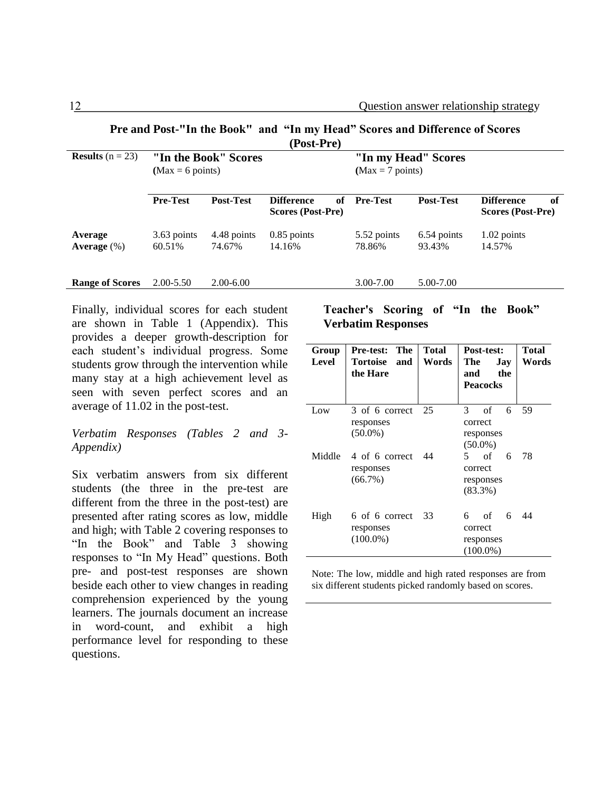| (Post-Pre)                |                                                    |                       |                                              |                       |                       |                                              |
|---------------------------|----------------------------------------------------|-----------------------|----------------------------------------------|-----------------------|-----------------------|----------------------------------------------|
| <b>Results</b> $(n = 23)$ | "In the Book" Scores<br>$(Max = 6 \text{ points})$ |                       | "In my Head" Scores<br>$(Max = 7 points)$    |                       |                       |                                              |
|                           | <b>Pre-Test</b>                                    | <b>Post-Test</b>      | <b>Difference</b><br>оf<br>Scores (Post-Pre) | <b>Pre-Test</b>       | <b>Post-Test</b>      | <b>Difference</b><br>of<br>Scores (Post-Pre) |
| Average<br>Average $(\%)$ | 3.63 points<br>60.51%                              | 4.48 points<br>74.67% | $0.85$ points<br>14.16%                      | 5.52 points<br>78.86% | 6.54 points<br>93.43% | 1.02 points<br>14.57%                        |
| <b>Range of Scores</b>    | $2.00 - 5.50$                                      | $2.00 - 6.00$         |                                              | $3.00 - 7.00$         | 5.00-7.00             |                                              |

**Pre and Post-"In the Book" and "In my Head" Scores and Difference of Scores** 

Finally, individual scores for each student are shown in Table 1 (Appendix). This provides a deeper growth-description for each student's individual progress. Some students grow through the intervention while many stay at a high achievement level as seen with seven perfect scores and an average of 11.02 in the post-test.

#### *Verbatim Responses (Tables 2 and 3- Appendix)*

Six verbatim answers from six different students (the three in the pre-test are different from the three in the post-test) are presented after rating scores as low, middle and high; with Table 2 covering responses to "In the Book" and Table 3 showing responses to "In My Head" questions. Both pre- and post-test responses are shown beside each other to view changes in reading comprehension experienced by the young learners. The journals document an increase in word-count, and exhibit a high performance level for responding to these questions.

#### **Teacher's Scoring of "In the Book" Verbatim Responses**

| Group<br>Level | The<br><b>Pre-test:</b><br>Tortoise<br>and<br>the Hare | <b>Total</b><br>Words | <b>Post-test:</b><br>The<br>Jay<br>the<br>and<br><b>Peacocks</b> | Total<br>Words |
|----------------|--------------------------------------------------------|-----------------------|------------------------------------------------------------------|----------------|
| Low            | 3 of 6 correct<br>responses<br>$(50.0\%)$              | 25                    | of<br>3<br>6<br>correct<br>responses<br>$(50.0\%)$               | 59             |
|                | Middle 4 of 6 correct<br>responses<br>$(66.7\%)$       | - 44                  | 5<br>of<br>6<br>correct<br>responses<br>$(83.3\%)$               | 78             |
| High           | 6 of 6 correct<br>responses<br>$(100.0\%)$             | 33                    | of<br>6<br>6<br>correct<br>responses<br>$(100.0\%)$              | 44             |

Note: The low, middle and high rated responses are from six different students picked randomly based on scores.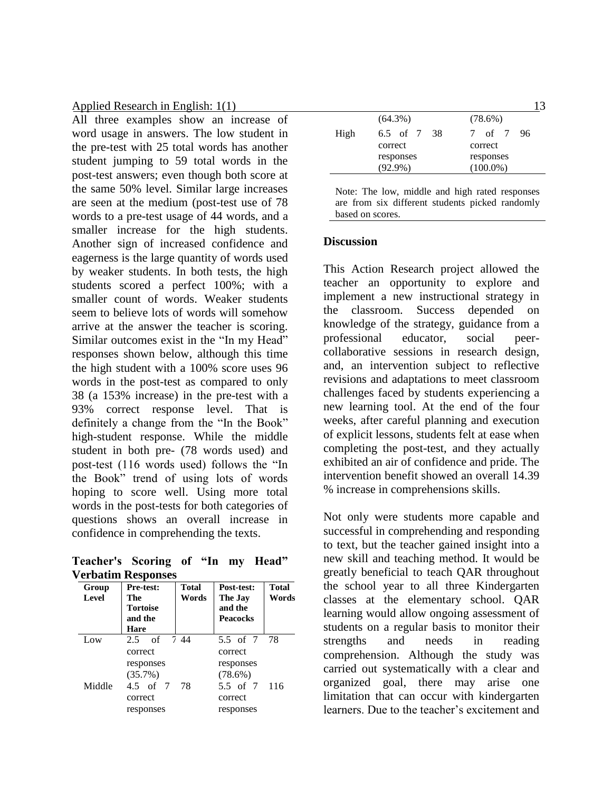All three examples show an increase of word usage in answers. The low student in the pre-test with 25 total words has another student jumping to 59 total words in the post-test answers; even though both score at the same 50% level. Similar large increases are seen at the medium (post-test use of 78 words to a pre-test usage of 44 words, and a smaller increase for the high students. Another sign of increased confidence and eagerness is the large quantity of words used by weaker students. In both tests, the high students scored a perfect 100%; with a smaller count of words. Weaker students seem to believe lots of words will somehow arrive at the answer the teacher is scoring. Similar outcomes exist in the "In my Head" responses shown below, although this time the high student with a 100% score uses 96 words in the post-test as compared to only 38 (a 153% increase) in the pre-test with a 93% correct response level. That is definitely a change from the "In the Book" high-student response. While the middle student in both pre- (78 words used) and post-test (116 words used) follows the "In the Book" trend of using lots of words hoping to score well. Using more total words in the post-tests for both categories of questions shows an overall increase in confidence in comprehending the texts.

**Teacher's Scoring of "In my Head" Verbatim Responses**

| Group<br><b>Level</b> | <b>Pre-test:</b><br>The<br><b>Tortoise</b><br>and the<br>Hare | <b>Total</b><br>Words | Post-test:<br>The Jay<br>and the<br><b>Peacocks</b>             | <b>Total</b><br>Words |
|-----------------------|---------------------------------------------------------------|-----------------------|-----------------------------------------------------------------|-----------------------|
| Low                   | 2.5 of 7.44<br>correct                                        |                       | 5.5 of 7 78<br>correct                                          |                       |
| Middle                | responses<br>(35.7%)<br>4.5 of 7 78<br>correct<br>responses   |                       | responses<br>$(78.6\%)$<br>5.5 of 7 116<br>correct<br>responses |                       |

|      | $(64.3\%)$  | $(78.6\%)$  |
|------|-------------|-------------|
| High | 6.5 of 7 38 | 7 of 7 96   |
|      | correct     | correct     |
|      | responses   | responses   |
|      | $(92.9\%)$  | $(100.0\%)$ |
|      |             |             |

Note: The low, middle and high rated responses are from six different students picked randomly based on scores.

#### **Discussion**

This Action Research project allowed the teacher an opportunity to explore and implement a new instructional strategy in the classroom. Success depended on knowledge of the strategy, guidance from a professional educator, social peercollaborative sessions in research design, and, an intervention subject to reflective revisions and adaptations to meet classroom challenges faced by students experiencing a new learning tool. At the end of the four weeks, after careful planning and execution of explicit lessons, students felt at ease when completing the post-test, and they actually exhibited an air of confidence and pride. The intervention benefit showed an overall 14.39 % increase in comprehensions skills.

Not only were students more capable and successful in comprehending and responding to text, but the teacher gained insight into a new skill and teaching method. It would be greatly beneficial to teach QAR throughout the school year to all three Kindergarten classes at the elementary school. QAR learning would allow ongoing assessment of students on a regular basis to monitor their strengths and needs in reading comprehension. Although the study was carried out systematically with a clear and organized goal, there may arise one limitation that can occur with kindergarten learners. Due to the teacher's excitement and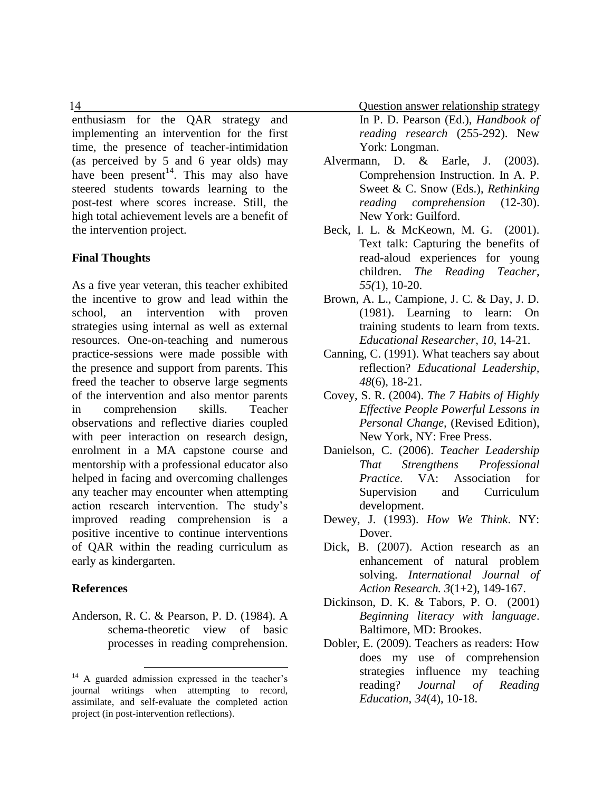14 Question answer relationship strategy

In P. D. Pearson (Ed.), *Handbook of reading research* (255-292). New York: Longman.

- Alvermann, D. & Earle, J. (2003). Comprehension Instruction. In A. P. Sweet & C. Snow (Eds.), *Rethinking reading comprehension* (12-30). New York: Guilford.
- Beck, I. L. & McKeown, M. G. (2001). Text talk: Capturing the benefits of read-aloud experiences for young children. *The Reading Teacher*, *55(*1), 10-20.
- Brown, A. L., Campione, J. C. & Day, J. D. (1981). Learning to learn: On training students to learn from texts. *Educational Researcher*, *10*, 14-21.
- Canning, C. (1991). What teachers say about reflection? *Educational Leadership, 48*(6), 18-21.
- Covey, S. R. (2004). *The 7 Habits of Highly Effective People Powerful Lessons in Personal Change,* (Revised Edition), New York, NY: Free Press.
- Danielson, C. (2006). *Teacher Leadership That Strengthens Professional Practice*. VA: Association for Supervision and Curriculum development.
- Dewey, J. (1993). *How We Think*. NY: Dover.
- Dick, B. (2007). Action research as an enhancement of natural problem solving. *International Journal of Action Research. 3*(1+2), 149-167.
- Dickinson, D. K. & Tabors, P. O. (2001) *Beginning literacy with language*. Baltimore, MD: Brookes.
- Dobler, E. (2009). Teachers as readers: How does my use of comprehension strategies influence my teaching reading? *Journal of Reading Education*, *34*(4), 10-18.

enthusiasm for the QAR strategy and implementing an intervention for the first time, the presence of teacher-intimidation (as perceived by 5 and 6 year olds) may have been present<sup>14</sup>. This may also have steered students towards learning to the post-test where scores increase. Still, the high total achievement levels are a benefit of the intervention project.

### **Final Thoughts**

As a five year veteran, this teacher exhibited the incentive to grow and lead within the school, an intervention with proven strategies using internal as well as external resources. One-on-teaching and numerous practice-sessions were made possible with the presence and support from parents. This freed the teacher to observe large segments of the intervention and also mentor parents in comprehension skills. Teacher observations and reflective diaries coupled with peer interaction on research design, enrolment in a MA capstone course and mentorship with a professional educator also helped in facing and overcoming challenges any teacher may encounter when attempting action research intervention. The study's improved reading comprehension is a positive incentive to continue interventions of QAR within the reading curriculum as early as kindergarten.

### **References**

Anderson, R. C. & Pearson, P. D. (1984). A schema-theoretic view of basic processes in reading comprehension.

<sup>&</sup>lt;sup>14</sup> A guarded admission expressed in the teacher's journal writings when attempting to record, assimilate, and self-evaluate the completed action project (in post-intervention reflections).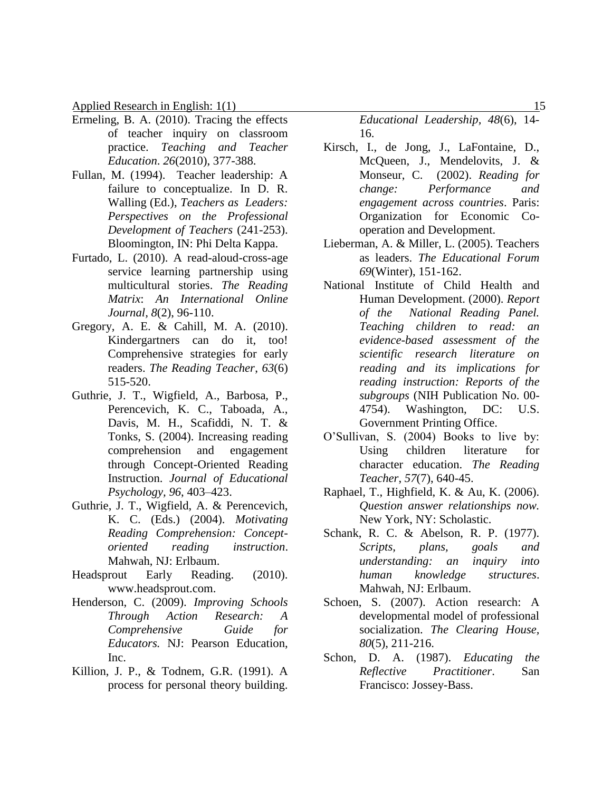- Ermeling, B. A. (2010). Tracing the effects of teacher inquiry on classroom practice. *Teaching and Teacher Education*. *26*(2010), 377-388.
- Fullan, M. (1994). Teacher leadership: A failure to conceptualize. In D. R. Walling (Ed.), *Teachers as Leaders: Perspectives on the Professional Development of Teachers* (241-253). Bloomington, IN: Phi Delta Kappa.
- Furtado, L. (2010). A read-aloud-cross-age service learning partnership using multicultural stories. *The Reading Matrix*: *An International Online Journal, 8*(2), 96-110.
- Gregory, A. E. & Cahill, M. A. (2010). Kindergartners can do it, too! Comprehensive strategies for early readers. *The Reading Teacher*, *63*(6) 515-520.
- Guthrie, J. T., Wigfield, A., Barbosa, P., Perencevich, K. C., Taboada, A., Davis, M. H., Scafiddi, N. T. & Tonks, S. (2004). Increasing reading comprehension and engagement through Concept-Oriented Reading Instruction. *Journal of Educational Psychology, 96*, 403–423.
- Guthrie, J. T., Wigfield, A. & Perencevich, K. C. (Eds.) (2004). *Motivating Reading Comprehension: Conceptoriented reading instruction*. Mahwah, NJ: Erlbaum.
- Headsprout Early Reading. (2010). www.headsprout.com.
- Henderson, C. (2009). *Improving Schools Through Action Research: A Comprehensive Guide for Educators.* NJ: Pearson Education, Inc.
- Killion, J. P., & Todnem, G.R. (1991). A process for personal theory building.

*Educational Leadership, 48*(6), 14- 16.

- Kirsch, I., de Jong, J., LaFontaine, D., McQueen, J., Mendelovits, J. & Monseur, C. (2002). *Reading for change: Performance and engagement across countries*. Paris: Organization for Economic Cooperation and Development.
- Lieberman, A. & Miller, L. (2005). Teachers as leaders. *The Educational Forum 69*(Winter), 151-162.
- National Institute of Child Health and Human Development. (2000). *Report of the National Reading Panel. Teaching children to read: an evidence-based assessment of the scientific research literature on reading and its implications for reading instruction: Reports of the subgroups* (NIH Publication No. 00- 4754). Washington, DC: U.S. Government Printing Office.
- O'Sullivan, S. (2004) Books to live by: Using children literature for character education. *The Reading Teacher*, *57*(7), 640-45.
- Raphael, T., Highfield, K. & Au, K. (2006). *Question answer relationships now.* New York, NY: Scholastic.
- Schank, R. C. & Abelson, R. P. (1977). *Scripts, plans, goals and understanding: an inquiry into human knowledge structures*. Mahwah, NJ: Erlbaum.
- Schoen, S. (2007). Action research: A developmental model of professional socialization. *The Clearing House, 80*(5), 211-216.
- Schon, D. A. (1987). *Educating the Reflective Practitioner*. San Francisco: Jossey-Bass.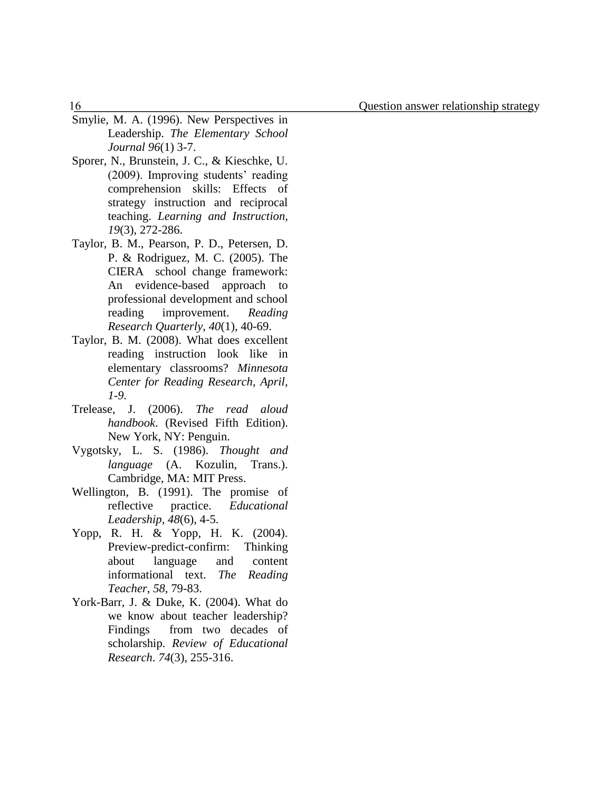- Smylie, M. A. (1996). New Perspectives in Leadership. *The Elementary School Journal 96*(1) 3-7.
- Sporer, N., Brunstein, J. C., & Kieschke, U. (2009). Improving students' reading comprehension skills: Effects of strategy instruction and reciprocal teaching. *Learning and Instruction, 19*(3), 272-286.
- Taylor, B. M., Pearson, P. D., Petersen, D. P. & Rodriguez, M. C. (2005). The CIERA school change framework: An evidence-based approach to professional development and school reading improvement. *Reading Research Quarterly*, *40*(1), 40-69.
- Taylor, B. M. (2008). What does excellent reading instruction look like in elementary classrooms? *Minnesota Center for Reading Research, April, 1-9.*
- Trelease, J. (2006). *The read aloud handbook*. (Revised Fifth Edition). New York, NY: Penguin.
- Vygotsky, L. S. (1986). *Thought and language* (A. Kozulin, Trans.). Cambridge, MA: MIT Press.
- Wellington, B. (1991). The promise of reflective practice. *Educational Leadership, 48*(6), 4-5.
- Yopp, R. H. & Yopp, H. K. (2004). Preview-predict-confirm: Thinking about language and content informational text. *The Reading Teacher*, *58*, 79-83.
- York-Barr, J. & Duke, K. (2004). What do we know about teacher leadership? Findings from two decades of scholarship. *Review of Educational Research*. *74*(3), 255-316.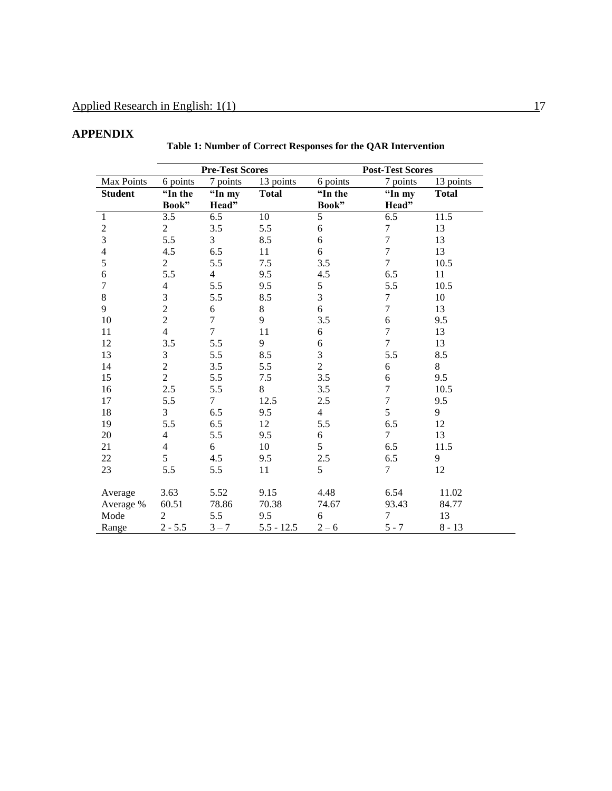# **APPENDIX**

|                  | <b>Pre-Test Scores</b> |                          |              |                  | <b>Post-Test Scores</b> |              |  |
|------------------|------------------------|--------------------------|--------------|------------------|-------------------------|--------------|--|
| Max Points       | 6 points               | 7 points                 | 13 points    | 6 points         | 7 points                | 13 points    |  |
| <b>Student</b>   | "In the                | "In my                   | <b>Total</b> | "In the          | "In my                  | <b>Total</b> |  |
|                  | Book"                  | Head"                    |              | Book"            | Head"                   |              |  |
| $\mathbf{1}$     | 3.5                    | 6.5                      | $10\,$       | 5                | 6.5                     | 11.5         |  |
| $\frac{2}{3}$    | $\overline{c}$         | 3.5                      | 5.5          | $\sqrt{6}$       | $\boldsymbol{7}$        | 13           |  |
|                  | 5.5                    | 3                        | 8.5          | 6                | $\overline{7}$          | 13           |  |
| $\overline{4}$   | 4.5                    | 6.5                      | 11           | 6                | $\overline{7}$          | 13           |  |
| 5                | $\overline{c}$         | 5.5                      | 7.5          | 3.5              | $\overline{7}$          | 10.5         |  |
| $\sqrt{6}$       | 5.5                    | $\overline{\mathcal{L}}$ | 9.5          | 4.5              | 6.5                     | 11           |  |
| $\boldsymbol{7}$ | $\overline{4}$         | 5.5                      | 9.5          | 5                | 5.5                     | 10.5         |  |
| $\,8\,$          | 3                      | 5.5                      | 8.5          | 3                | 7                       | 10           |  |
| 9                | $\overline{2}$         | $\sqrt{6}$               | 8            | 6                | $\overline{7}$          | 13           |  |
| 10               | $\overline{c}$         | $\boldsymbol{7}$         | 9            | 3.5              | $\sqrt{6}$              | 9.5          |  |
| 11               | $\overline{4}$         | $\overline{7}$           | 11           | 6                | $\boldsymbol{7}$        | 13           |  |
| 12               | 3.5                    | 5.5                      | 9            | $\boldsymbol{6}$ | $\overline{7}$          | 13           |  |
| 13               | $\mathfrak{Z}$         | 5.5                      | 8.5          | 3                | 5.5                     | 8.5          |  |
| 14               | $\overline{2}$         | 3.5                      | 5.5          | $\overline{c}$   | 6                       | 8            |  |
| 15               | $\overline{2}$         | 5.5                      | 7.5          | 3.5              | 6                       | 9.5          |  |
| 16               | 2.5                    | 5.5                      | 8            | 3.5              | $\tau$                  | 10.5         |  |
| 17               | 5.5                    | $\overline{7}$           | 12.5         | 2.5              | $\boldsymbol{7}$        | 9.5          |  |
| 18               | 3                      | 6.5                      | 9.5          | $\overline{4}$   | 5                       | 9            |  |
| 19               | 5.5                    | 6.5                      | 12           | 5.5              | 6.5                     | 12           |  |
| 20               | $\overline{4}$         | 5.5                      | 9.5          | $\sqrt{6}$       | $\overline{7}$          | 13           |  |
| 21               | $\overline{4}$         | 6                        | 10           | 5                | 6.5                     | 11.5         |  |
| 22               | 5                      | 4.5                      | 9.5          | $2.5\,$          | $6.5\,$                 | 9            |  |
| 23               | 5.5                    | 5.5                      | 11           | 5                | $\tau$                  | 12           |  |
| Average          | 3.63                   | 5.52                     | 9.15         | 4.48             | 6.54                    | 11.02        |  |
| Average %        | 60.51                  | 78.86                    | 70.38        | 74.67            | 93.43                   | 84.77        |  |
| Mode             | $\overline{2}$         | 5.5                      | 9.5          | 6                | $\boldsymbol{7}$        | 13           |  |
| Range            | $2 - 5.5$              | $3 - 7$                  | $5.5 - 12.5$ | $2 - 6$          | $5 - 7$                 | $8 - 13$     |  |

### **Table 1: Number of Correct Responses for the QAR Intervention**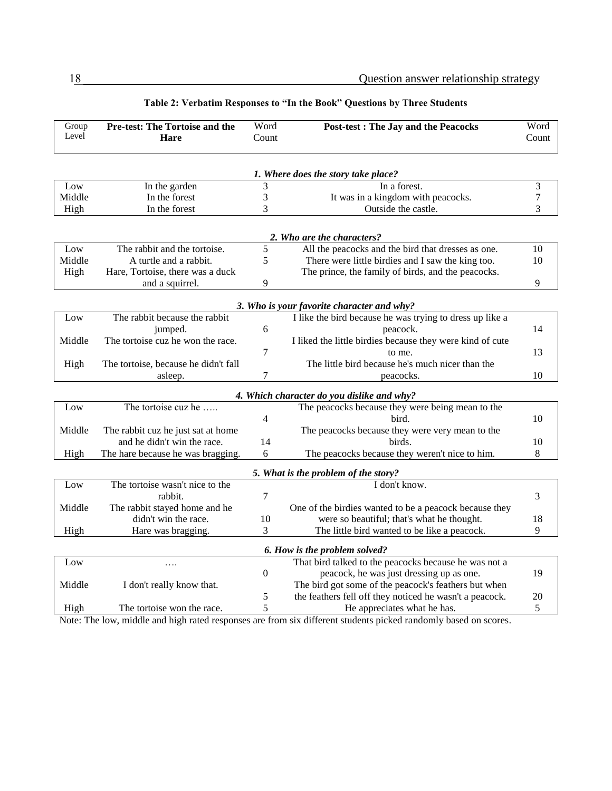| Group                                      | Pre-test: The Tortoise and the       | Word             | <b>Post-test : The Jay and the Peacocks</b>                                                          | Word             |  |  |
|--------------------------------------------|--------------------------------------|------------------|------------------------------------------------------------------------------------------------------|------------------|--|--|
| Level                                      | Hare                                 | Count            |                                                                                                      | Count            |  |  |
|                                            |                                      |                  |                                                                                                      |                  |  |  |
|                                            |                                      |                  |                                                                                                      |                  |  |  |
|                                            |                                      |                  | 1. Where does the story take place?                                                                  |                  |  |  |
| Low                                        | In the garden                        | 3                | In a forest.                                                                                         | 3                |  |  |
| Middle                                     | In the forest                        | 3                | It was in a kingdom with peacocks.                                                                   | $\boldsymbol{7}$ |  |  |
| High                                       | In the forest                        | 3                | Outside the castle.                                                                                  | 3                |  |  |
|                                            |                                      |                  |                                                                                                      |                  |  |  |
|                                            |                                      |                  | 2. Who are the characters?                                                                           |                  |  |  |
| Low                                        | The rabbit and the tortoise.         | 5                | All the peacocks and the bird that dresses as one.                                                   | 10               |  |  |
| Middle                                     | A turtle and a rabbit.               | 5                | There were little birdies and I saw the king too.                                                    | 10               |  |  |
| High                                       | Hare, Tortoise, there was a duck     |                  | The prince, the family of birds, and the peacocks.                                                   |                  |  |  |
|                                            | and a squirrel.                      | 9                |                                                                                                      | 9                |  |  |
|                                            |                                      |                  |                                                                                                      |                  |  |  |
|                                            |                                      |                  | 3. Who is your favorite character and why?                                                           |                  |  |  |
| Low                                        | The rabbit because the rabbit        |                  | I like the bird because he was trying to dress up like a                                             |                  |  |  |
|                                            | jumped.                              | 6                | peacock.                                                                                             | 14               |  |  |
| Middle                                     | The tortoise cuz he won the race.    |                  | I liked the little birdies because they were kind of cute                                            |                  |  |  |
|                                            |                                      | 7                | to me.                                                                                               | 13               |  |  |
| High                                       | The tortoise, because he didn't fall |                  | The little bird because he's much nicer than the                                                     |                  |  |  |
|                                            | asleep.                              | 7                | peacocks.                                                                                            | 10               |  |  |
| 4. Which character do you dislike and why? |                                      |                  |                                                                                                      |                  |  |  |
| Low                                        | The tortoise cuz he                  |                  | The peacocks because they were being mean to the                                                     |                  |  |  |
|                                            |                                      | 4                | bird.                                                                                                | 10               |  |  |
| Middle                                     | The rabbit cuz he just sat at home   |                  | The peacocks because they were very mean to the                                                      |                  |  |  |
|                                            | and he didn't win the race.          | 14               | birds.                                                                                               | 10               |  |  |
| High                                       | The hare because he was bragging.    | 6                | The peacocks because they weren't nice to him.                                                       | 8                |  |  |
|                                            |                                      |                  |                                                                                                      |                  |  |  |
|                                            | The tortoise wasn't nice to the      |                  | 5. What is the problem of the story?<br>I don't know.                                                |                  |  |  |
| Low                                        | rabbit.                              | $\tau$           |                                                                                                      |                  |  |  |
| Middle                                     | The rabbit stayed home and he        |                  |                                                                                                      | 3                |  |  |
|                                            | didn't win the race.                 | 10               | One of the birdies wanted to be a peacock because they<br>were so beautiful; that's what he thought. | 18               |  |  |
|                                            |                                      | 3                |                                                                                                      | 9                |  |  |
| High                                       | Hare was bragging.                   |                  | The little bird wanted to be like a peacock.                                                         |                  |  |  |
| 6. How is the problem solved?              |                                      |                  |                                                                                                      |                  |  |  |
| Low                                        | $\cdots$                             |                  | That bird talked to the peacocks because he was not a                                                |                  |  |  |
|                                            |                                      | $\boldsymbol{0}$ | peacock, he was just dressing up as one.                                                             | 19               |  |  |
| Middle                                     | I don't really know that.            |                  | The bird got some of the peacock's feathers but when                                                 |                  |  |  |
|                                            |                                      | 5                | the feathers fell off they noticed he wasn't a peacock.                                              | 20               |  |  |
| High                                       | The tortoise won the race.           | 5                | He appreciates what he has.                                                                          | 5                |  |  |

#### **Table 2: Verbatim Responses to "In the Book" Questions by Three Students**

Note: The low, middle and high rated responses are from six different students picked randomly based on scores.